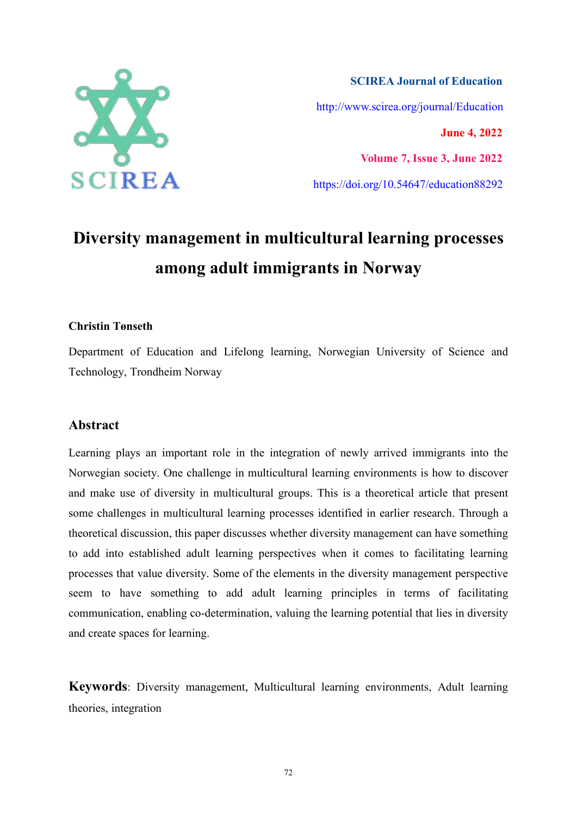

**SCIREA Journal of Education** http://www.scirea.org/journal/Education **June 4, 2022 Volume 7, Issue 3, June 2022**

https://doi.org/10.54647/education88292

# **Diversity management in multicultural learning processes among adult immigrants in Norway**

### **Christin Tønseth**

Department of Education and Lifelong learning, Norwegian University of Science and Technology, Trondheim Norway

### **Abstract**

Learning plays an important role in the integration of newly arrived immigrants into the Norwegian society. One challenge in multicultural learning environments is how to discover and make use of diversity in multicultural groups. This is a theoretical article that present some challenges in multicultural learning processes identified in earlier research. Through a theoretical discussion, this paper discusses whether diversity management can have something to add into established adult learning perspectives when it comes to facilitating learning processes that value diversity. Some of the elements in the diversity management perspective seem to have something to add adult learning principles in terms of facilitating communication, enabling co-determination, valuing the learning potential that lies in diversity and create spaces for learning.

**Keywords**: Diversity management, Multicultural learning environments, Adult learning theories, integration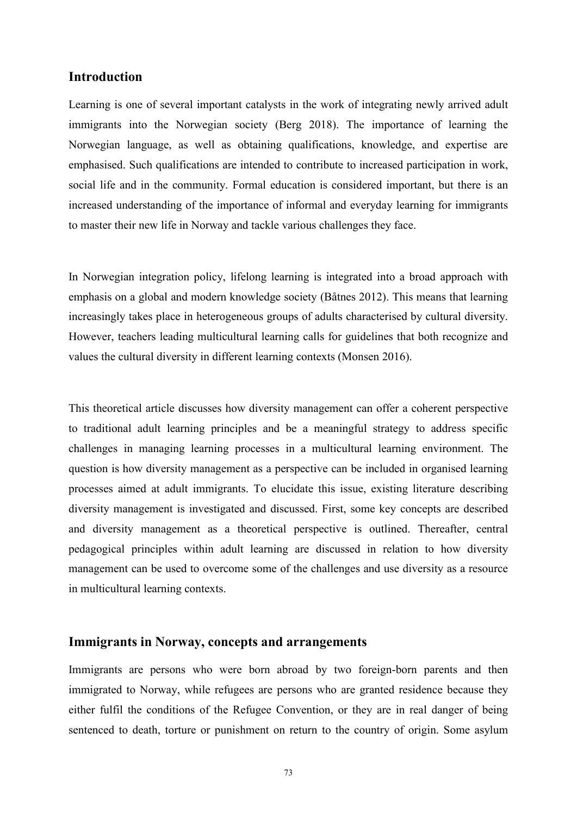# **Introduction**

Learning is one of several important catalysts in the work of integrating newly arrived adult immigrants into the Norwegian society (Berg 2018). The importance of learning the Norwegian language, as well as obtaining qualifications, knowledge, and expertise are emphasised. Such qualifications are intended to contribute to increased participation in work, social life and in the community. Formal education is considered important, but there is an increased understanding of the importance of informal and everyday learning for immigrants to master their new life in Norway and tackle various challenges they face.

In Norwegian integration policy, lifelong learning is integrated into a broad approach with emphasis on a global and modern knowledge society (Båtnes 2012). This means that learning increasingly takes place in heterogeneous groups of adults characterised by cultural diversity. However, teachers leading multicultural learning calls for guidelines that both recognize and values the cultural diversity in different learning contexts (Monsen 2016).

This theoretical article discusses how diversity management can offer a coherent perspective to traditional adult learning principles and be a meaningful strategy to address specific challenges in managing learning processes in a multicultural learning environment. The question is how diversity management as a perspective can be included in organised learning processes aimed at adult immigrants. To elucidate this issue, existing literature describing diversity management is investigated and discussed. First, some key concepts are described and diversity management as a theoretical perspective is outlined. Thereafter, central pedagogical principles within adult learning are discussed in relation to how diversity management can be used to overcome some of the challenges and use diversity as a resource in multicultural learning contexts.

# **Immigrants in Norway, concepts and arrangements**

Immigrants are persons who were born abroad by two foreign-born parents and then immigrated to Norway, while refugees are persons who are granted residence because they either fulfil the conditions of the Refugee Convention, or they are in real danger of being sentenced to death, torture or punishment on return to the country of origin. Some asylum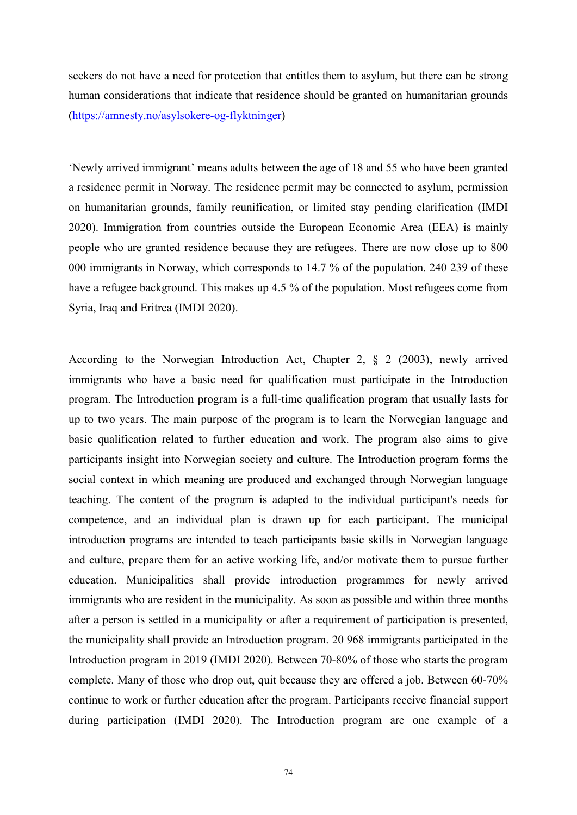seekers do not have a need for protection that entitles them to asylum, but there can be strong human considerations that indicate that residence should be granted on humanitarian grounds (https://amnesty.no/asylsokere-og-flyktninger)

'Newly arrived immigrant' means adults between the age of 18 and 55 who have been granted a residence permit in Norway. The residence permit may be connected to asylum, permission on humanitarian grounds, family reunification, or limited stay pending clarification (IMDI 2020). Immigration from countries outside the European Economic Area (EEA) is mainly people who are granted residence because they are refugees. There are now close up to 800 000 immigrants in Norway, which corresponds to 14.7 % of the population. 240 239 of these have a refugee background. This makes up 4.5 % of the population. Most refugees come from Syria, Iraq and Eritrea (IMDI 2020).

According to the Norwegian Introduction Act, Chapter 2, § 2 (2003), newly arrived immigrants who have a basic need for qualification must participate in the Introduction program. The Introduction program is a full-time qualification program that usually lasts for up to two years. The main purpose of the program is to learn the Norwegian language and basic qualification related to further education and work. The program also aims to give participants insight into Norwegian society and culture. The Introduction program forms the social context in which meaning are produced and exchanged through Norwegian language teaching. The content of the program is adapted to the individual participant's needs for competence, and an individual plan is drawn up for each participant. The municipal introduction programs are intended to teach participants basic skills in Norwegian language and culture, prepare them for an active working life, and/or motivate them to pursue further education. Municipalities shall provide introduction programmes for newly arrived immigrants who are resident in the municipality. As soon as possible and within three months after a person is settled in a municipality or after a requirement of participation is presented, the municipality shall provide an Introduction program. 20 968 immigrants participated in the Introduction program in 2019 (IMDI 2020). Between 70-80% of those who starts the program complete. Many of those who drop out, quit because they are offered a job. Between 60-70% continue to work or further education after the program. Participants receive financial support during participation (IMDI 2020). The Introduction program are one example of a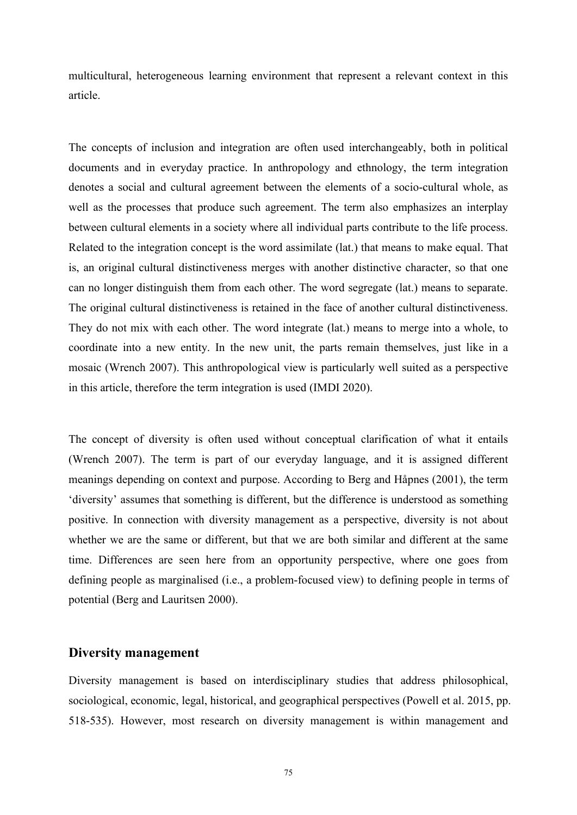multicultural, heterogeneous learning environment that represent a relevant context in this article.

The concepts of inclusion and integration are often used interchangeably, both in political documents and in everyday practice. In anthropology and ethnology, the term integration denotes a social and cultural agreement between the elements of a socio-cultural whole, as well as the processes that produce such agreement. The term also emphasizes an interplay between cultural elements in a society where all individual parts contribute to the life process. Related to the integration concept is the word assimilate (lat.) that means to make equal. That is, an original cultural distinctiveness merges with another distinctive character, so that one can no longer distinguish them from each other. The word segregate (lat.) means to separate. The original cultural distinctiveness is retained in the face of another cultural distinctiveness. They do not mix with each other. The word integrate (lat.) means to merge into a whole, to coordinate into a new entity. In the new unit, the parts remain themselves, just like in a mosaic (Wrench 2007). This anthropological view is particularly well suited as a perspective in this article, therefore the term integration is used (IMDI 2020).

The concept of diversity is often used without conceptual clarification of what it entails (Wrench 2007). The term is part of our everyday language, and it is assigned different meanings depending on context and purpose. According to Berg and Håpnes (2001), the term 'diversity' assumes that something is different, but the difference isunderstood as something positive. In connection with diversity management as a perspective, diversity is not about whether we are the same or different, but that we are both similar and different at the same time. Differences are seen here from an opportunity perspective, where one goes from defining people as marginalised (i.e., a problem-focused view) to defining people in terms of potential (Berg and Lauritsen 2000).

# **Diversity management**

Diversity management is based on interdisciplinary studies that address philosophical, sociological, economic, legal, historical, and geographical perspectives (Powell et al. 2015, pp. 518-535). However, most research on diversity management is within management and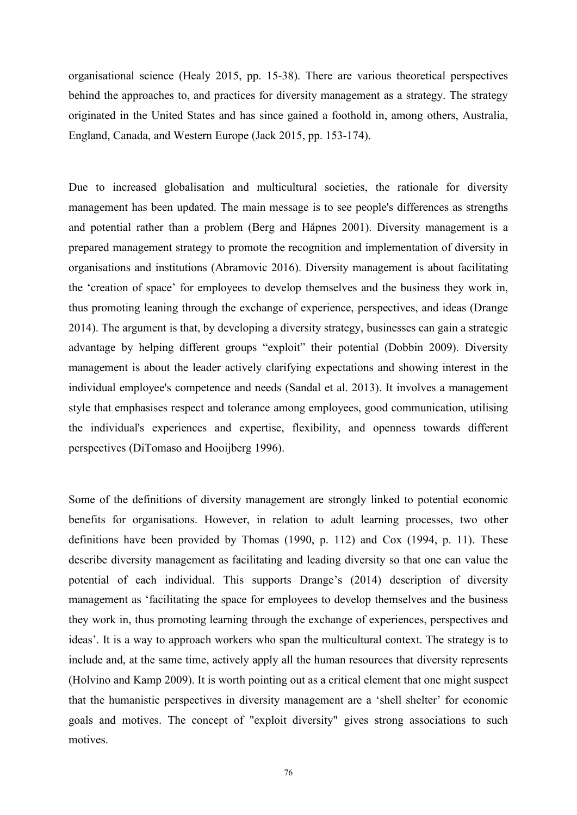organisational science (Healy 2015, pp. 15-38). There are various theoretical perspectives behind the approaches to, and practices for diversity management as a strategy. The strategy originated in the United States and has since gained a foothold in, among others, Australia, England, Canada, and Western Europe (Jack 2015, pp. 153-174).

Due to increased globalisation and multicultural societies, the rationale for diversity management has been updated. The main message is to see people's differences as strengths and potential rather than a problem (Berg and Håpnes 2001). Diversity management is a prepared management strategy to promote the recognition and implementation of diversity in organisations and institutions (Abramovic 2016). Diversity management is about facilitating the 'creation of space' for employees to develop themselves and the business they work in, thus promoting leaning through the exchange of experience, perspectives, and ideas (Drange 2014). The argument is that, by developing a diversity strategy, businesses can gain a strategic advantage by helping different groups "exploit" their potential (Dobbin 2009). Diversity management is about the leader actively clarifying expectations and showing interest in the individual employee's competence and needs (Sandal et al. 2013). It involves a management style that emphasises respect and tolerance among employees, good communication, utilising the individual's experiences and expertise, flexibility, and openness towards different perspectives (DiTomaso and Hooijberg 1996).

Some of the definitions of diversity management are strongly linked to potential economic benefits for organisations. However, in relation to adult learning processes, two other definitions have been provided by Thomas (1990, p. 112) and Cox (1994, p. 11). These describe diversity management as facilitating and leading diversity so that one can value the potential of each individual. This supports Drange's (2014) description of diversity management as 'facilitating the space for employees to develop themselves and the business they work in, thus promoting learning through the exchange of experiences, perspectives and ideas'. It is a way to approach workers who span the multicultural context. The strategy is to include and, at the same time, actively apply all the human resources that diversity represents (Holvino and Kamp 2009). It is worth pointing out as a critical element that one might suspect that the humanistic perspectives in diversity management are a 'shell shelter' for economic goals and motives. The concept of "exploit diversity" gives strong associations to such motives.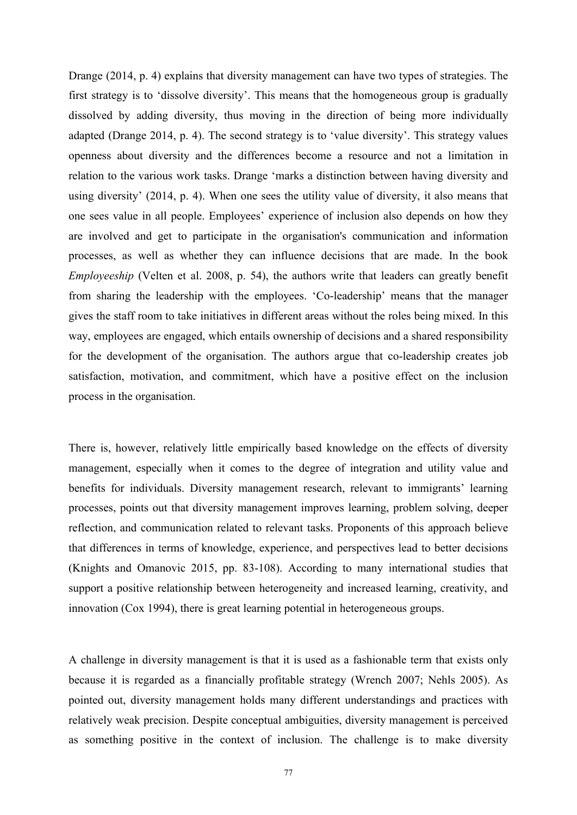Drange (2014, p. 4) explains that diversity management can have two types of strategies. The first strategy is to 'dissolve diversity'. This means that the homogeneous group is gradually dissolved by adding diversity, thus moving in the direction of being more individually adapted (Drange 2014, p.4). The second strategy is to 'value diversity'. This strategy values openness about diversity and the differences become a resource and not a limitation in relation to the various work tasks. Drange 'marks a distinction between having diversity and using diversity' (2014, p. 4). When one sees the utility value of diversity, it also means that one sees value in all people. Employees' experience of inclusion also depends on how they are involved and get to participate in the organisation's communication and information processes, as well as whether they can influence decisions that are made. In the book *Employeeship* (Velten et al. 2008, p. 54), the authors write that leaders can greatly benefit from sharing the leadership with the employees. 'Co-leadership' means that the manager gives the staff room to take initiatives in different areas without the roles being mixed. In this way, employees are engaged, which entails ownership of decisions and a shared responsibility for the development of the organisation. The authors argue that co-leadership creates job satisfaction, motivation, and commitment, which have a positive effect on the inclusion process in the organisation.

There is, however, relatively little empirically based knowledge on the effects of diversity management, especially when it comes to the degree of integration and utility value and benefits for individuals. Diversity management research, relevant to immigrants' learning processes, points out that diversity management improves learning, problem solving, deeper reflection, and communication related to relevant tasks. Proponents of this approach believe that differences in terms of knowledge, experience, and perspectives lead to better decisions (Knights and Omanovic 2015, pp. 83-108). According to many international studies that support a positive relationship between heterogeneity and increased learning, creativity, and innovation (Cox 1994), there is great learning potential in heterogeneous groups.

A challenge in diversity management is that it is used as a fashionable term that exists only because it is regarded as a financially profitable strategy (Wrench 2007; Nehls 2005). As pointed out, diversity management holds many different understandings and practices with relatively weak precision. Despite conceptual ambiguities, diversity management is perceived as something positive in the context of inclusion. The challenge is to make diversity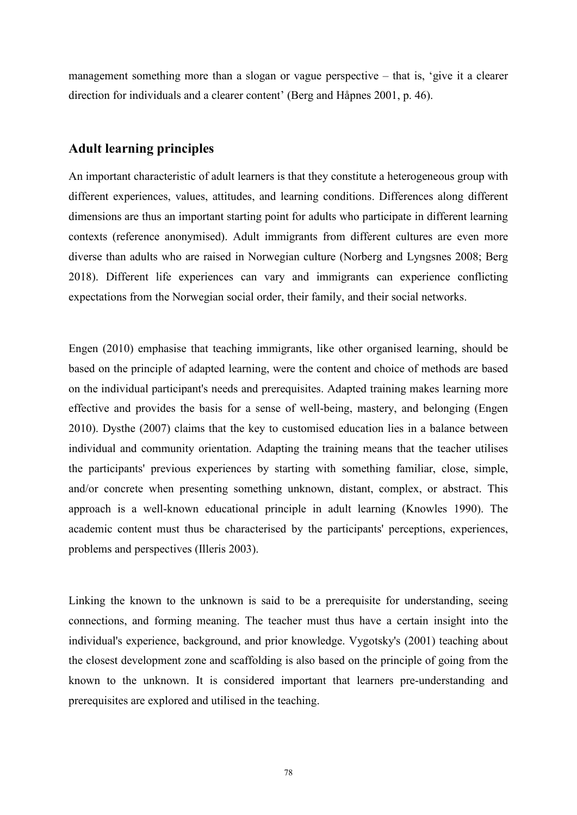management something more than a slogan or vague perspective – that is, 'give it a clearer direction for individuals and a clearer content' (Berg and Håpnes 2001, p. 46).

# **Adult learning principles**

An important characteristic of adult learners is that they constitute a heterogeneous group with different experiences, values, attitudes, and learning conditions. Differences along different dimensions are thus an important starting point for adults who participate in different learning contexts (reference anonymised). Adult immigrants from different cultures are even more diverse than adults who are raised in Norwegian culture (Norberg and Lyngsnes 2008; Berg 2018). Different life experiences can vary and immigrants can experience conflicting expectations from the Norwegian social order, their family, and their social networks.

Engen (2010) emphasise that teaching immigrants, like other organised learning, should be based on the principle of adapted learning, were the content and choice of methods are based on the individual participant's needs and prerequisites. Adapted training makes learning more effective and provides the basis for a sense of well-being, mastery, and belonging (Engen 2010). Dysthe (2007) claims that the key to customised education lies in a balance between individual and community orientation. Adapting the training means that the teacher utilises the participants' previous experiences by starting with something familiar, close, simple, and/or concrete when presenting something unknown, distant, complex, or abstract. This approach is a well-known educational principle in adult learning (Knowles 1990). The academic content must thus be characterised by the participants' perceptions, experiences, problems and perspectives (Illeris 2003).

Linking the known to the unknown is said to be a prerequisite for understanding, seeing connections, and forming meaning. The teacher must thus have a certain insight into the individual's experience, background, and prior knowledge. Vygotsky's (2001) teaching about the closest development zone and scaffolding is also based on the principle of going from the known to the unknown. It is considered important that learners pre-understanding and prerequisites are explored and utilised in the teaching.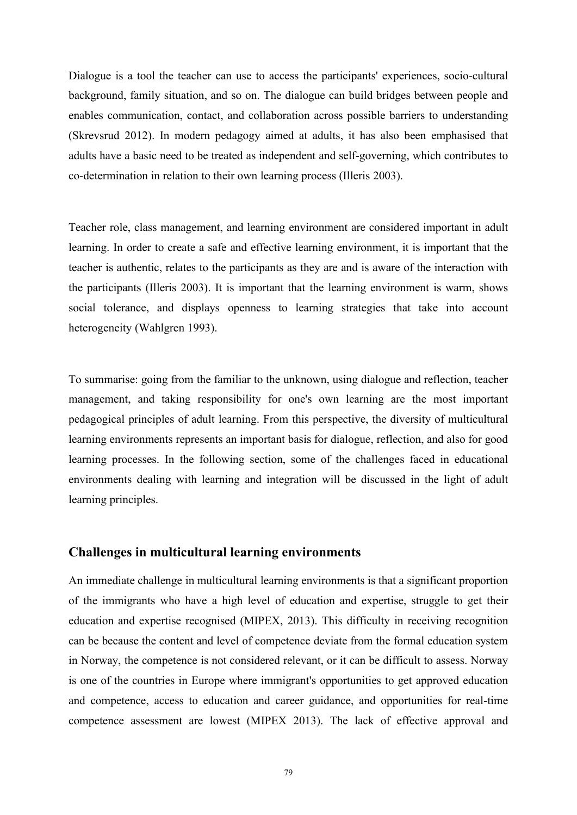Dialogue is a tool the teacher can use to access the participants' experiences, socio-cultural background, family situation, and so on. The dialogue can build bridges between people and enables communication, contact, and collaboration across possible barriers to understanding (Skrevsrud 2012). In modern pedagogy aimed at adults, it has also been emphasised that adults have a basic need to be treated as independent and self-governing, which contributes to co-determination in relation to their own learning process (Illeris 2003).

Teacher role, class management, and learning environment are considered importantin adult learning. In order to create a safe and effective learning environment, it is important that the teacher is authentic, relates to the participants as they are and is aware of the interaction with the participants (Illeris 2003). It is important that the learning environment is warm, shows social tolerance, and displays openness to learning strategies that take into account heterogeneity (Wahlgren 1993).

To summarise: going from the familiar to the unknown, using dialogue and reflection, teacher management, and taking responsibility for one's own learning are the most important pedagogical principles of adult learning. From this perspective, the diversity of multicultural learning environments represents an important basis for dialogue, reflection, and also for good learning processes. In the following section, some of the challenges faced in educational environments dealing with learning and integration will be discussed in the light of adult learning principles.

## **Challenges in multicultural learning environments**

An immediate challenge in multicultural learning environments is that a significant proportion of the immigrants who have a high level of education and expertise, struggle to get their education and expertise recognised (MIPEX, 2013). This difficulty in receiving recognition can be because the content and level of competence deviate from the formal education system in Norway, the competence is not considered relevant, or it can be difficult to assess. Norway is one of the countries in Europe where immigrant's opportunities to get approved education and competence, access to education and career guidance, and opportunities for real-time competence assessment are lowest (MIPEX 2013). The lack of effective approval and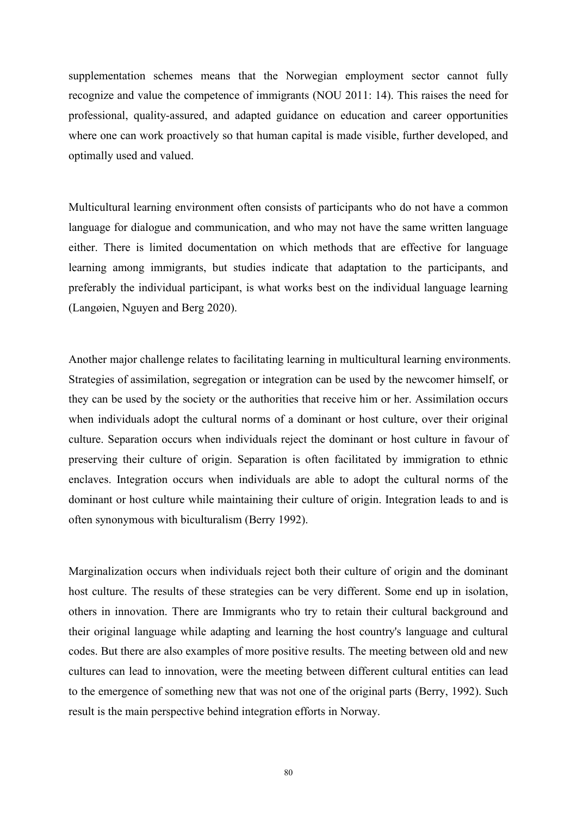supplementation schemes means that the Norwegian employment sector cannot fully recognize and value the competence of immigrants (NOU 2011: 14). This raises the need for professional, quality-assured, and adapted guidance on education and career opportunities where one can work proactively so that human capital is made visible, further developed, and optimally used and valued.

Multicultural learning environment often consists of participants who do not have a common language for dialogue and communication, and who may not have the same written language either. There is limited documentation on which methods that are effective for language learning among immigrants, but studies indicate that adaptation to the participants, and preferably the individual participant, is what works best on the individual language learning (Langøien, Nguyen and Berg 2020).

Another major challenge relates to facilitating learning in multicultural learning environments. Strategies of assimilation, segregation or integration can be used by the newcomer himself, or they can be used by the society or the authorities that receive him or her. Assimilation occurs when individuals adopt the cultural norms of a dominant or host culture, over their original culture. Separation occurs when individuals reject the dominant or host culture in favour of preserving their culture of origin. Separation is often facilitated by immigration to ethnic enclaves. Integration occurs when individuals are able to adopt the cultural norms of the dominant or host culture while maintaining their culture of origin. Integration leads to and is often synonymous with biculturalism (Berry 1992).

Marginalization occurs when individuals reject both their culture of origin and the dominant host culture. The results of these strategies can be very different. Some end up in isolation, others in innovation. There are Immigrants who try to retain their cultural background and their original language while adapting and learning the host country's language and cultural codes. But there are also examples of more positive results. The meeting between old and new cultures can lead to innovation, were the meeting between different cultural entities can lead to the emergence of something new that was not one of the original parts (Berry, 1992). Such result is the main perspective behind integration efforts in Norway.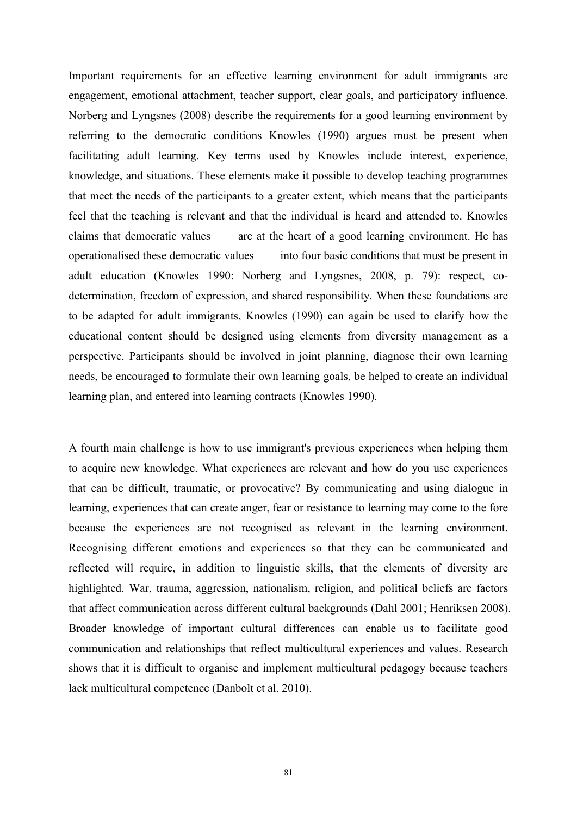Important requirements for an effective learning environment for adult immigrants are engagement, emotional attachment, teacher support, clear goals, and participatory influence. Norberg and Lyngsnes (2008) describe the requirements for a good learning environment by referring to the democratic conditions Knowles (1990) argues must be present when facilitating adult learning. Key terms used by Knowles include interest, experience, knowledge, and situations. These elements make it possible to develop teaching programmes that meet the needs of the participants to a greater extent, which means that the participants feel that the teaching is relevant and that the individual is heard and attended to. Knowles claims that democratic values are at the heart of a good learning environment. He has operationalised these democratic values into four basic conditions that must be present in adult education (Knowles 1990: Norberg and Lyngsnes, 2008, p. 79): respect, co determination, freedom of expression, and shared responsibility. When these foundations are to be adapted for adult immigrants, Knowles (1990) can again be used to clarify how the educational content should be designed using elements from diversity management as a perspective. Participants should be involved in joint planning, diagnose their own learning needs, be encouraged to formulate their own learning goals, be helped to create an individual learning plan, and entered into learning contracts (Knowles 1990).

A fourth main challenge is how to use immigrant's previous experiences when helping them to acquire new knowledge. What experiences are relevant and how do you use experiences that can be difficult, traumatic, or provocative? By communicating and using dialogue in learning, experiences that can create anger, fear or resistance to learning may come to the fore because the experiences are not recognised as relevant in the learning environment. Recognising different emotions and experiences so that they can be communicated and reflected will require, in addition to linguistic skills, that the elements of diversity are highlighted. War, trauma, aggression, nationalism, religion, and political beliefs are factors that affect communication across different cultural backgrounds (Dahl 2001; Henriksen 2008). Broader knowledge of important cultural differences can enable us to facilitate good communication and relationships that reflect multicultural experiences and values. Research shows that it is difficult to organise and implement multicultural pedagogy because teachers lack multicultural competence (Danbolt et al. 2010).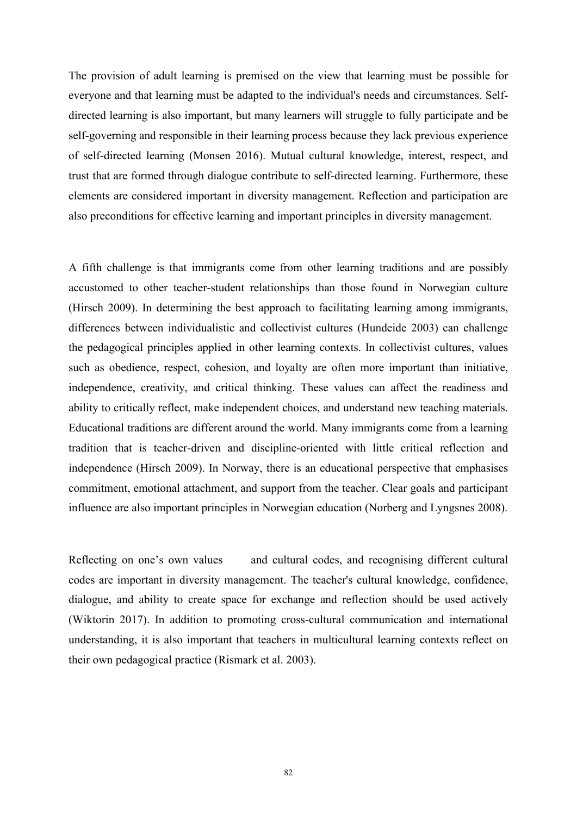The provision of adult learning is premised on the view that learning must be possible for everyone and that learning must be adapted to the individual's needs and circumstances. Self directed learning is also important, but many learners will struggle to fully participate and be self-governing and responsible in their learning process because they lack previous experience of self-directed learning (Monsen 2016). Mutual cultural knowledge, interest, respect, and trust that are formed through dialogue contribute to self-directed learning. Furthermore, these elements are considered important in diversity management. Reflection and participation are also preconditions for effective learning and important principles in diversity management.

A fifth challenge is that immigrants come from other learning traditions and are possibly accustomed to other teacher-student relationships than those found in Norwegian culture (Hirsch 2009). In determining the best approach to facilitating learning among immigrants, differences between individualistic and collectivist cultures (Hundeide 2003) can challenge the pedagogical principles applied in other learning contexts. In collectivist cultures, values such as obedience, respect, cohesion, and loyalty are often more important than initiative, independence, creativity, and critical thinking. These values can affect the readiness and ability to critically reflect, make independent choices, and understand new teaching materials. Educational traditions are different around the world. Many immigrants come from a learning tradition that is teacher-driven and discipline-oriented with little critical reflection and independence (Hirsch 2009). In Norway, there is an educational perspective that emphasises commitment, emotional attachment, and support from the teacher. Clear goals and participant influence are also important principles in Norwegian education (Norberg and Lyngsnes 2008).

Reflecting on one's own values and cultural codes, and recognising different cultural codes are important in diversity management. The teacher's cultural knowledge, confidence, dialogue, and ability to create space for exchange and reflection should be used actively (Wiktorin 2017). In addition to promoting cross-cultural communication and international understanding, it is also important that teachers in multicultural learning contexts reflect on their own pedagogical practice (Rismark et al. 2003).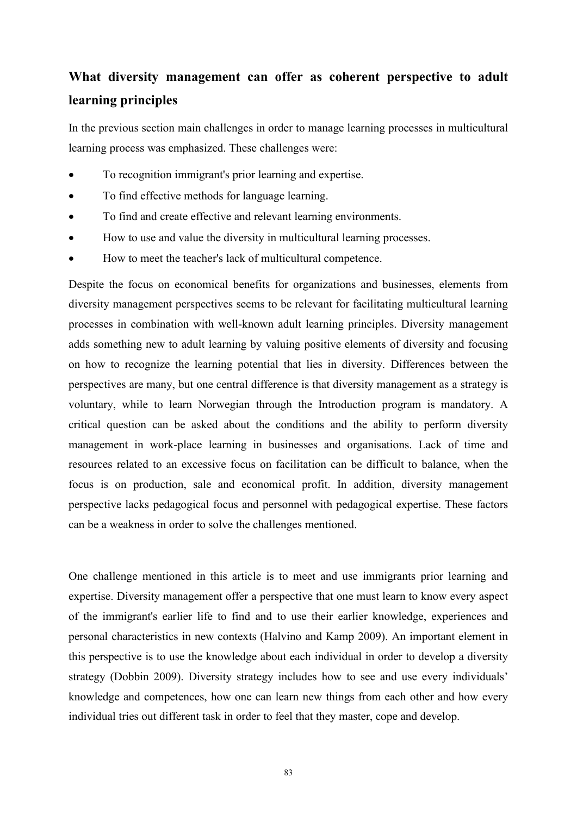# **What diversity management can offer as coherent perspective to adult learning principles**

In the previous section main challenges in order to manage learning processes in multicultural learning process was emphasized. These challenges were:

- To recognition immigrant's prior learning and expertise.
- To find effective methods for language learning.
- To find and create effective and relevant learning environments.
- How to use and value the diversity in multicultural learning processes.
- How to meet the teacher's lack of multicultural competence.

Despite the focus on economical benefits for organizations and businesses, elements from diversity management perspectives seems to be relevant for facilitating multicultural learning processes in combination with well-known adult learning principles. Diversity management adds something new to adult learning by valuing positive elements of diversity and focusing on how to recognize the learning potential that lies in diversity. Differences between the perspectives are many, but one central difference is that diversity management as a strategy is voluntary, while to learn Norwegian through the Introduction program is mandatory. A critical question can be asked about the conditions and the ability to perform diversity management in work-place learning in businesses and organisations. Lack of time and resources related to an excessive focus on facilitation can be difficult to balance, when the focus is on production, sale and economical profit. In addition, diversity management perspective lacks pedagogical focus and personnelwith pedagogical expertise. These factors can be a weakness in order to solve the challenges mentioned.

One challenge mentioned in this article is to meet and use immigrants prior learning and expertise. Diversity management offer a perspective that one must learn to know every aspect of the immigrant's earlier life to find and to use their earlier knowledge, experiences and personal characteristics in new contexts (Halvino and Kamp 2009). An important element in this perspective is to use the knowledge about each individual in order to develop a diversity strategy (Dobbin 2009). Diversity strategy includes how to see and use every individuals' knowledge and competences, how one can learn new things from each other and how every individual tries out different task in order to feel that they master, cope and develop.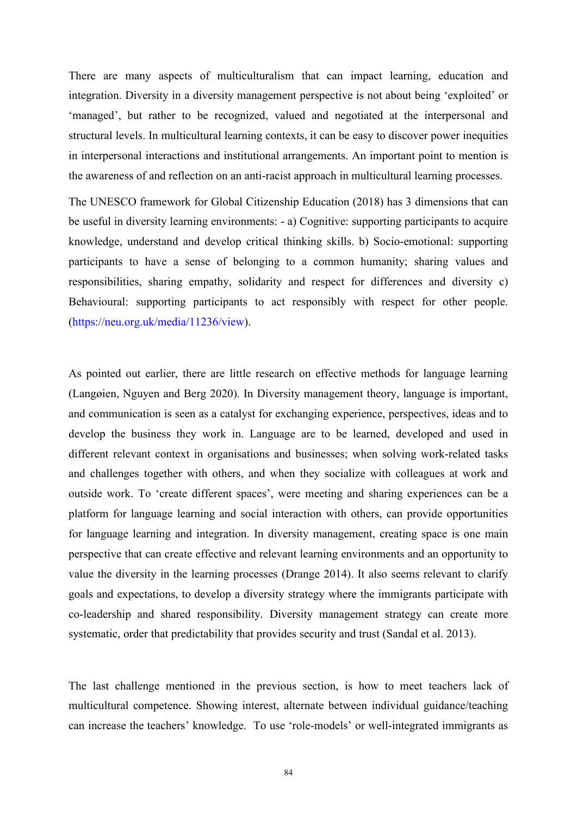There are many aspects of multiculturalism that can impact learning, education and integration. Diversity in a diversity management perspective is not about being 'exploited' or 'managed', but rather to be recognized, valued and negotiated at the interpersonal and structural levels. In multicultural learning contexts, it can be easy to discover power inequities in interpersonal interactions and institutional arrangements. An important point to mention is the awareness of and reflection on an anti-racistapproach in multicultural learning processes.

The UNESCO framework for Global Citizenship Education (2018) has 3 dimensions that can be useful in diversity learning environments: - a) Cognitive: supporting participants to acquire knowledge, understand and develop critical thinking skills. b) Socio-emotional: supporting participants to have a sense of belonging to a common humanity; sharing values and responsibilities, sharing empathy, solidarity and respect for differences and diversity c) Behavioural: supporting participants to act responsibly with respect for other people. (https://neu.org.uk/media/11236/view).

As pointed out earlier, there are little research on effective methods for language learning (Langøien, Nguyen and Berg 2020). In Diversity management theory, language is important, and communication is seen as a catalyst for exchanging experience, perspectives, ideas and to develop the business they work in. Language are to be learned, developed and used in different relevant context in organisations and businesses; when solving work-related tasks and challenges together with others, and when they socialize with colleagues at work and outside work. To 'create different spaces', were meeting and sharing experiences can be a platform for language learning and social interaction with others, can provide opportunities for language learning and integration. In diversity management, creating space is one main perspective that can create effective and relevant learning environments and an opportunity to value the diversity in the learning processes (Drange 2014). It also seems relevant to clarify goals and expectations, to develop a diversity strategy where the immigrants participate with co-leadership and shared responsibility. Diversity management strategy can create more systematic, order that predictability that provides security and trust (Sandal et al. 2013).

The last challenge mentioned in the previous section, is how to meet teachers lack of multicultural competence. Showing interest, alternate between individual guidance/teaching can increase the teachers' knowledge. To use 'role-models' or well-integrated immigrants as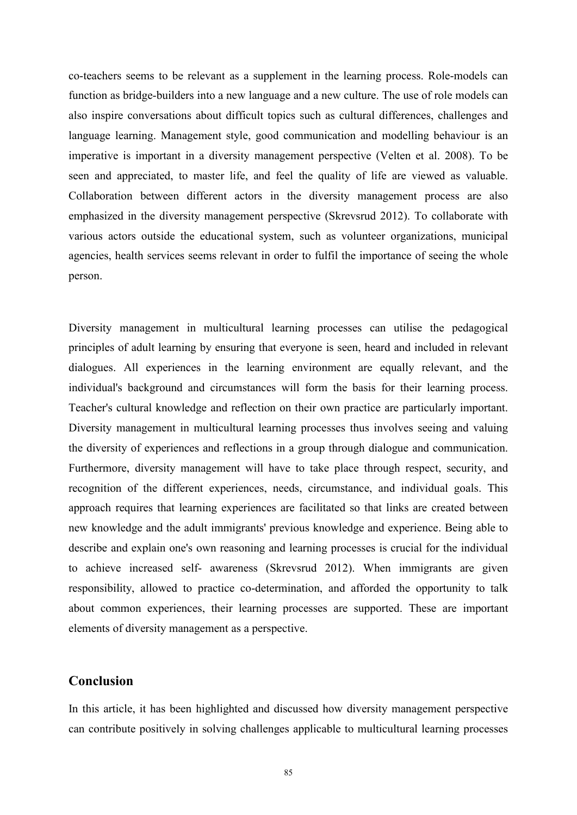co-teachers seems to be relevant as a supplement in the learning process. Role-models can function as bridge-builders into a new language and a new culture. The use of role models can also inspire conversations about difficult topics such as cultural differences, challenges and language learning. Management style, good communication and modelling behaviour is an imperative is important in a diversity management perspective (Velten et al. 2008). To be seen and appreciated, to master life, and feel the quality of life are viewed as valuable. Collaboration between different actors in the diversity management process are also emphasized in the diversity management perspective (Skrevsrud 2012). To collaborate with various actors outside the educational system, such as volunteer organizations, municipal agencies, health services seems relevant in order to fulfil the importance of seeing the whole person.

Diversity management in multicultural learning processes can utilise the pedagogical principles of adult learning by ensuring that everyone is seen, heard and included in relevant dialogues. All experiences in the learning environment are equally relevant, and the individual's background and circumstances will form the basis for their learning process. Teacher's cultural knowledge and reflection on their own practice are particularly important. Diversity management in multicultural learning processes thus involves seeing and valuing the diversity of experiences and reflections in a group through dialogue and communication. Furthermore, diversity management will have to take place through respect, security, and recognition of the different experiences, needs, circumstance, and individual goals. This approach requires that learning experiences are facilitated so that links are created between new knowledge and the adult immigrants' previous knowledge and experience. Being able to describe and explain one's own reasoning and learning processes is crucial for the individual to achieve increased self- awareness (Skrevsrud 2012). When immigrants are given responsibility, allowed to practice co-determination, and afforded the opportunity to talk about common experiences, their learning processes are supported. These are important elements of diversity management as a perspective.

### **Conclusion**

In this article, it has been highlighted and discussed how diversity management perspective can contribute positively in solving challenges applicable to multicultural learning processes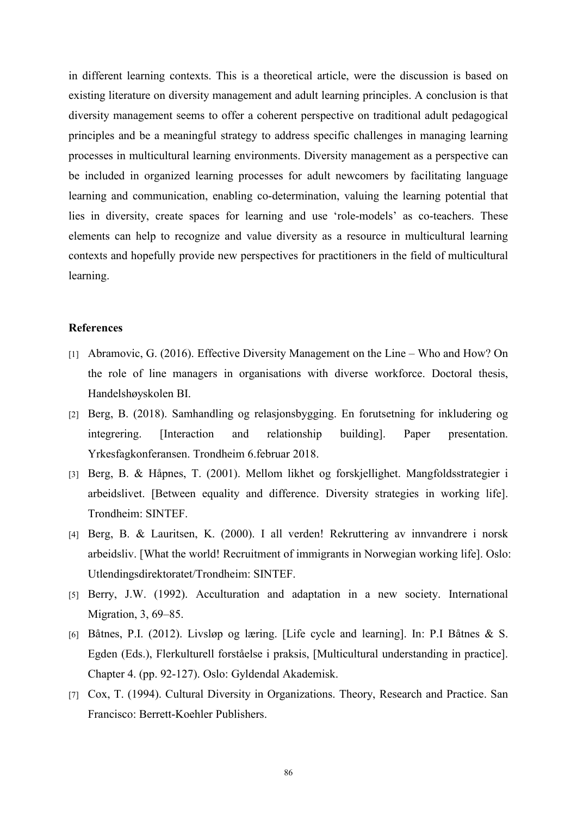in different learning contexts. This is a theoretical article, were the discussion is based on existing literature on diversity management and adult learning principles. A conclusion is that diversity management seems to offer a coherent perspective on traditional adult pedagogical principles and be a meaningful strategy to address specific challenges in managing learning processes in multicultural learning environments. Diversity management as a perspective can be included in organized learning processes for adult newcomers by facilitating language learning and communication, enabling co-determination, valuing the learning potential that lies in diversity, create spaces for learning and use 'role-models' as co-teachers. These elements can help to recognize and value diversity as a resource in multicultural learning contexts and hopefully provide new perspectives for practitioners in the field of multicultural learning.

#### **References**

- [1] Abramovic, G. (2016). Effective Diversity Management on the Line Who and How? On the role of line managers in organisations with diverse workforce. Doctoral thesis, Handelshøyskolen BI.
- [2] Berg, B. (2018). Samhandling og relasjonsbygging. En forutsetning for inkludering og integrering. [Interaction and relationship building]. Paper presentation. Yrkesfagkonferansen. Trondheim 6.februar 2018.
- [3] Berg, B. & Håpnes, T. (2001). Mellom likhet og forskjellighet. Mangfoldsstrategier i arbeidslivet. [Between equality and difference. Diversity strategies in working life]. Trondheim: SINTEF.
- [4] Berg, B. & Lauritsen, K. (2000). I all verden! Rekruttering av innvandrere i norsk arbeidsliv. [What the world! Recruitment of immigrants in Norwegian working life]. Oslo: Utlendingsdirektoratet/Trondheim: SINTEF.
- [5] Berry, J.W. (1992). Acculturation and adaptation in a new society. International Migration, 3, 69–85.
- [6] Båtnes, P.I. (2012). Livsløp og læring. [Life cycle and learning]. In: P.I Båtnes & S. Egden (Eds.), Flerkulturell forståelse i praksis, [Multicultural understanding in practice]. Chapter 4. (pp. 92-127). Oslo: Gyldendal Akademisk.
- [7] Cox, T. (1994). Cultural Diversity in Organizations. Theory, Research and Practice. San Francisco: Berrett-Koehler Publishers.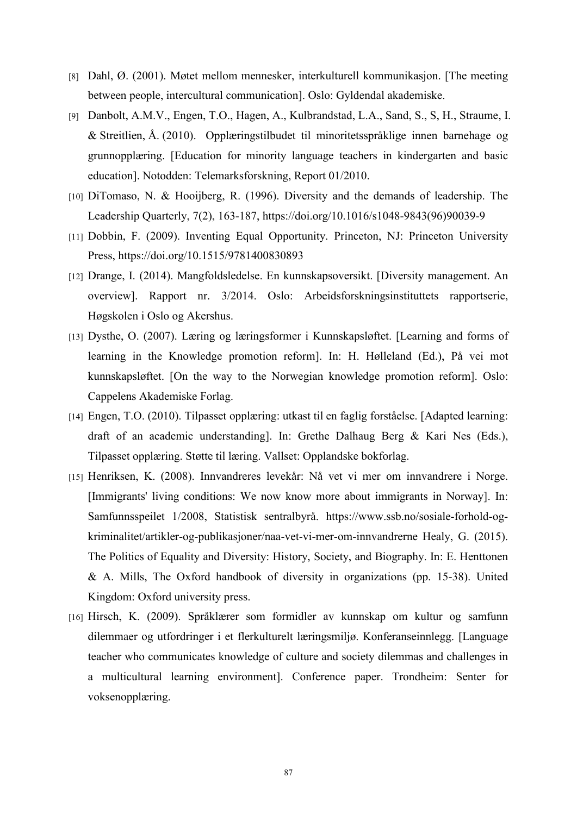- [8] Dahl, Ø. (2001). Møtet mellom mennesker, interkulturell kommunikasjon. [The meeting between people, intercultural communication]. Oslo: Gyldendal akademiske.
- [9] Danbolt, A.M.V., Engen, T.O., Hagen, A., Kulbrandstad, L.A., Sand, S., S, H., Straume, I. & Streitlien, Å. (2010). Opplæringstilbudet til minoritetsspråklige innen barnehage og grunnopplæring. [Education for minority language teachers in kindergarten and basic education]. Notodden: Telemarksforskning, Report 01/2010.
- [10] DiTomaso, N. & Hooijberg, R. (1996). Diversity and the demands of leadership. The Leadership Quarterly, 7(2), 163-187, https://doi.org/10.1016/s1048-9843(96)90039-9
- [11] Dobbin, F. (2009). Inventing Equal Opportunity. Princeton, NJ: Princeton University Press, https://doi.org/10.1515/9781400830893
- [12] Drange, I. (2014). Mangfoldsledelse. En kunnskapsoversikt. [Diversity management. An overview]. Rapport nr. 3/2014. Oslo: Arbeidsforskningsinstituttets rapportserie, Høgskolen i Oslo og Akershus.
- [13] Dysthe, O. (2007). Læring og læringsformer i Kunnskapsløftet. [Learning and forms of learning in the Knowledge promotion reform]. In: H. Hølleland (Ed.), På vei mot kunnskapsløftet. [On the way to the Norwegian knowledge promotion reform]. Oslo: Cappelens Akademiske Forlag.
- [14] Engen, T.O. (2010). Tilpasset opplæring: utkast til en faglig forståelse. [Adapted learning: draft of an academic understanding]. In: Grethe Dalhaug Berg & Kari Nes (Eds.), Tilpasset opplæring. Støtte til læring. Vallset: Opplandske bokforlag.
- [15] Henriksen, K. (2008). Innvandreres levekår: Nå vet vi mer om innvandrere i Norge. [Immigrants' living conditions: We now know more about immigrants in Norway]. In: Samfunnsspeilet 1/2008, Statistisk sentralbyrå. https://www.ssb.no/sosiale-forhold-og kriminalitet/artikler-og-publikasjoner/naa-vet-vi-mer-om-innvandrerne Healy, G. (2015). The Politics of Equality and Diversity: History, Society, and Biography. In: E. Henttonen  $&$  A. Mills, The Oxford handbook of diversity in organizations (pp. 15-38). United Kingdom: Oxford university press.
- [16] Hirsch, K. (2009). Språklærer som formidler av kunnskap om kultur og samfunn dilemmaer og utfordringer i et flerkulturelt læringsmiljø. Konferanseinnlegg. [Language teacher who communicates knowledge of culture and society dilemmas and challenges in a multicultural learning environment]. Conference paper. Trondheim: Senter for voksenopplæring.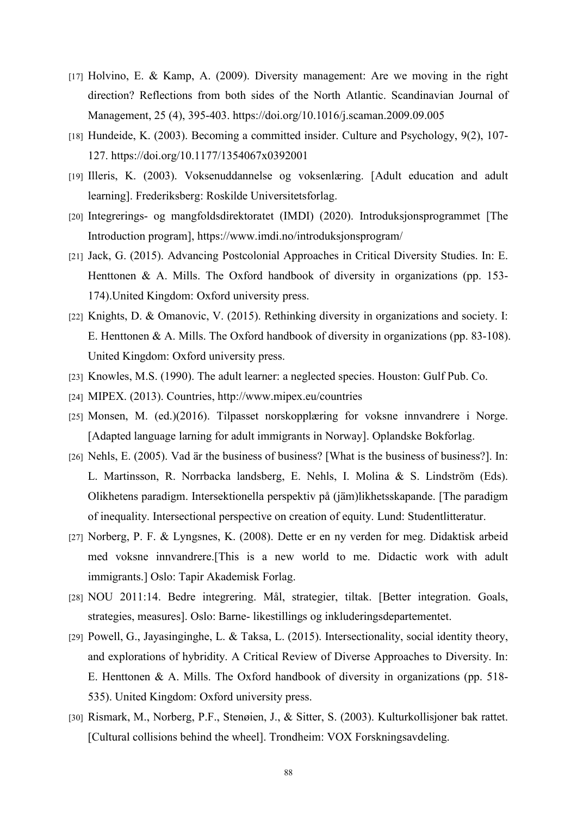- [17] Holvino, E. & Kamp, A. (2009). Diversity management: Are we moving in the right direction? Reflections from both sides of the North Atlantic. Scandinavian Journal of Management, 25 (4), 395-403. https://doi.org/10.1016/j.scaman.2009.09.005
- [18] Hundeide, K. (2003). Becoming a committed insider. Culture and Psychology, 9(2), 107-127. https://doi.org/10.1177/1354067x0392001
- [19] Illeris, K. (2003). Voksenuddannelse og voksenlæring. [Adult education and adult learning]. Frederiksberg: Roskilde Universitetsforlag.
- [20] Integrerings- og mangfoldsdirektoratet (IMDI) (2020). Introduksjonsprogrammet [The Introduction program], https://www.imdi.no/introduksjonsprogram/
- [21] Jack, G. (2015). Advancing Postcolonial Approaches in Critical Diversity Studies. In: E. Henttonen & A. Mills. The Oxford handbook of diversity in organizations (pp. 153-174).United Kingdom: Oxford university press.
- [22] Knights, D. & Omanovic, V. (2015). Rethinking diversity in organizations and society. I: E. Henttonen & A. Mills. The Oxford handbook of diversity in organizations (pp. 83-108). United Kingdom: Oxford university press.
- [23] Knowles, M.S. (1990). The adult learner: a neglected species. Houston: Gulf Pub. Co.
- [24] MIPEX. (2013). Countries, http://www.mipex.eu/countries
- [25] Monsen, M. (ed.)(2016). Tilpasset norskopplæring for voksne innvandrere i Norge. [Adapted language larning for adult immigrants in Norway]. Oplandske Bokforlag.
- [26] Nehls, E. (2005). Vad är the business of business? [What is the business of business?]. In: L. Martinsson, R. Norrbacka landsberg, E. Nehls, I. Molina & S. Lindström (Eds). Olikhetens paradigm. Intersektionella perspektiv på (jäm)likhetsskapande. [The paradigm of inequality. Intersectional perspective on creation of equity. Lund: Studentlitteratur.
- [27] Norberg, P. F. & Lyngsnes, K. (2008). Dette er en ny verden for meg. Didaktisk arbeid med voksne innvandrere.[This is a new world to me. Didactic work with adult immigrants.] Oslo: Tapir Akademisk Forlag.
- [28] NOU 2011:14. Bedre integrering. Mål, strategier, tiltak. [Better integration. Goals, strategies, measures]. Oslo: Barne- likestillings og inkluderingsdepartementet.
- [29] Powell, G., Jayasinginghe, L. & Taksa, L. (2015). Intersectionality, social identity theory, and explorations of hybridity. A Critical Review of Diverse Approaches to Diversity. In: E. Henttonen & A. Mills. The Oxford handbook of diversity in organizations (pp. 518- 535). United Kingdom: Oxford university press.
- [30] Rismark, M., Norberg, P.F., Stenøien, J., & Sitter, S. (2003). Kulturkollisjoner bak rattet. [Cultural collisions behind the wheel]. Trondheim: VOX Forskningsavdeling.